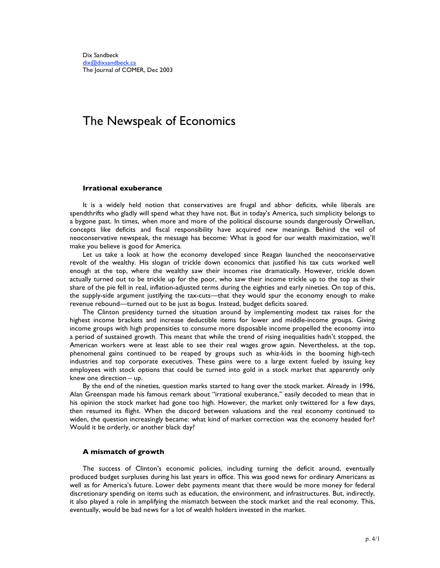# The Newspeak of Economics

## **Irrational exuberance**

It is a widely held notion that conservatives are frugal and abhor deficits, while liberals are spendthrifts who gladly will spend what they have not. But in today's America, such simplicity belongs to a bygone past. In times, when more and more of the political discourse sounds dangerously Orwellian, concepts like deficits and fiscal responsibility have acquired new meanings. Behind the veil of neoconservative newspeak, the message has become: What is good for our wealth maximization, we'll make you believe is good for America.

Let us take a look at how the economy developed since Reagan launched the neoconservative revolt of the wealthy. His slogan of trickle down economics that justified his tax cuts worked well enough at the top, where the wealthy saw their incomes rise dramatically. However, trickle down actually turned out to be trickle up for the poor, who saw their income trickle up to the top as their share of the pie fell in real, inflation-adjusted terms during the eighties and early nineties. On top of this, the supply-side argument justifying the tax-cuts—that they would spur the economy enough to make revenue rebound—turned out to be just as bogus. Instead, budget deficits soared.

The Clinton presidency turned the situation around by implementing modest tax raises for the highest income brackets and increase deductible items for lower and middle-income groups. Giving income groups with high propensities to consume more disposable income propelled the economy into a period of sustained growth. This meant that while the trend of rising inequalities hadn't stopped, the American workers were at least able to see their real wages grow again. Nevertheless, at the top, phenomenal gains continued to be reaped by groups such as whiz-kids in the booming high-tech industries and top corporate executives. These gains were to a large extent fueled by issuing key employees with stock options that could be turned into gold in a stock market that apparently only knew one direction – up.

By the end of the nineties, question marks started to hang over the stock market. Already in 1996, Alan Greenspan made his famous remark about "irrational exuberance," easily decoded to mean that in his opinion the stock market had gone too high. However, the market only twittered for a few days, then resumed its flight. When the discord between valuations and the real economy continued to widen, the question increasingly became: what kind of market correction was the economy headed for? Would it be orderly, or another black day?

## **A mismatch of growth**

The success of Clinton's economic policies, including turning the deficit around, eventually produced budget surpluses during his last years in office. This was good news for ordinary Americans as well as for America's future. Lower debt payments meant that there would be more money for federal discretionary spending on items such as education, the environment, and infrastructures. But, indirectly, it also played a role in amplifying the mismatch between the stock market and the real economy. This, eventually, would be bad news for a lot of wealth holders invested in the market.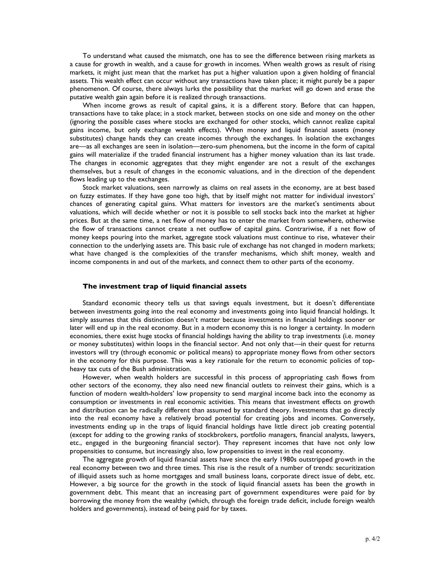To understand what caused the mismatch, one has to see the difference between rising markets as a cause for growth in wealth, and a cause for growth in incomes. When wealth grows as result of rising markets, it might just mean that the market has put a higher valuation upon a given holding of financial assets. This wealth effect can occur without any transactions have taken place; it might purely be a paper phenomenon. Of course, there always lurks the possibility that the market will go down and erase the putative wealth gain again before it is realized through transactions.

When income grows as result of capital gains, it is a different story. Before that can happen, transactions have to take place; in a stock market, between stocks on one side and money on the other (ignoring the possible cases where stocks are exchanged for other stocks, which cannot realize capital gains income, but only exchange wealth effects). When money and liquid financial assets (money substitutes) change hands they can create incomes through the exchanges. In isolation the exchanges are—as all exchanges are seen in isolation—zero-sum phenomena, but the income in the form of capital gains will materialize if the traded financial instrument has a higher money valuation than its last trade. The changes in economic aggregates that they might engender are not a result of the exchanges themselves, but a result of changes in the economic valuations, and in the direction of the dependent flows leading up to the exchanges.

Stock market valuations, seen narrowly as claims on real assets in the economy, are at best based on fuzzy estimates. If they have gone too high, that by itself might not matter for individual investors' chances of generating capital gains. What matters for investors are the market's sentiments about valuations, which will decide whether or not it is possible to sell stocks back into the market at higher prices. But at the same time, a net flow of money has to enter the market from somewhere, otherwise the flow of transactions cannot create a net outflow of capital gains. Contrariwise, if a net flow of money keeps pouring into the market, aggregate stock valuations must continue to rise, whatever their connection to the underlying assets are. This basic rule of exchange has not changed in modern markets; what have changed is the complexities of the transfer mechanisms, which shift money, wealth and income components in and out of the markets, and connect them to other parts of the economy.

#### **The investment trap of liquid financial assets**

Standard economic theory tells us that savings equals investment, but it doesn't differentiate between investments going into the real economy and investments going into liquid financial holdings. It simply assumes that this distinction doesn't matter because investments in financial holdings sooner or later will end up in the real economy. But in a modern economy this is no longer a certainty. In modern economies, there exist huge stocks of financial holdings having the ability to trap investments (i.e. money or money substitutes) within loops in the financial sector. And not only that—in their quest for returns investors will try (through economic or political means) to appropriate money flows from other sectors in the economy for this purpose. This was a key rationale for the return to economic policies of topheavy tax cuts of the Bush administration.

However, when wealth holders are successful in this process of appropriating cash flows from other sectors of the economy, they also need new financial outlets to reinvest their gains, which is a function of modern wealth-holders' low propensity to send marginal income back into the economy as consumption or investments in real economic activities. This means that investment effects on growth and distribution can be radically different than assumed by standard theory. Investments that go directly into the real economy have a relatively broad potential for creating jobs and incomes. Conversely, investments ending up in the traps of liquid financial holdings have little direct job creating potential (except for adding to the growing ranks of stockbrokers, portfolio managers, financial analysts, lawyers, etc., engaged in the burgeoning financial sector). They represent incomes that have not only low propensities to consume, but increasingly also, low propensities to invest in the real economy.

The aggregate growth of liquid financial assets have since the early 1980s outstripped growth in the real economy between two and three times. This rise is the result of a number of trends: securitization of illiquid assets such as home mortgages and small business loans, corporate direct issue of debt, etc. However, a big source for the growth in the stock of liquid financial assets has been the growth in government debt. This meant that an increasing part of government expenditures were paid for by borrowing the money from the wealthy (which, through the foreign trade deficit, include foreign wealth holders and governments), instead of being paid for by taxes.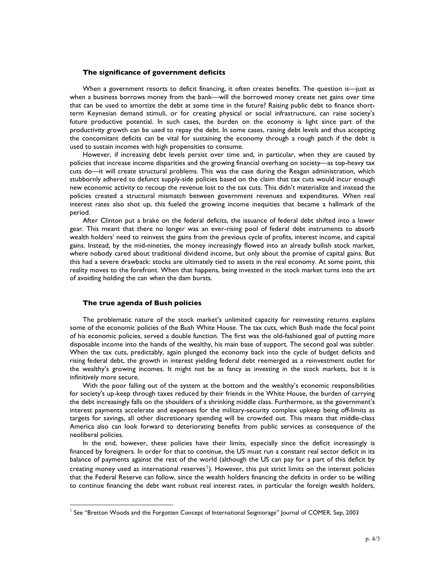#### **The significance of government deficits**

When a government resorts to deficit financing, it often creates benefits. The question is—just as when a business borrows money from the bank—will the borrowed money create net gains over time that can be used to amortize the debt at some time in the future? Raising public debt to finance shortterm Keynesian demand stimuli, or for creating physical or social infrastructure, can raise society's future productive potential. In such cases, the burden on the economy is light since part of the productivity growth can be used to repay the debt. In some cases, raising debt levels and thus accepting the concomitant deficits can be vital for sustaining the economy through a rough patch if the debt is used to sustain incomes with high propensities to consume.

However, if increasing debt levels persist over time and, in particular, when they are caused by policies that increase income disparities and the growing financial overhang on society—as top-heavy tax cuts do—it will create structural problems. This was the case during the Reagan administration, which stubbornly adhered to defunct supply-side policies based on the claim that tax cuts would incur enough new economic activity to recoup the revenue lost to the tax cuts. This didn't materialize and instead the policies created a structural mismatch between government revenues and expenditures. When real interest rates also shot up, this fueled the growing income inequities that became a hallmark of the period.

After Clinton put a brake on the federal deficits, the issuance of federal debt shifted into a lower gear. This meant that there no longer was an ever-rising pool of federal debt instruments to absorb wealth holders' need to reinvest the gains from the previous cycle of profits, interest income, and capital gains. Instead, by the mid-nineties, the money increasingly flowed into an already bullish stock market, where nobody cared about traditional dividend income, but only about the promise of capital gains. But this had a severe drawback: stocks are ultimately tied to assets in the real economy. At some point, this reality moves to the forefront. When that happens, being invested in the stock market turns into the art of avoiding holding the can when the dam bursts.

### **The true agenda of Bush policies**

The problematic nature of the stock market's unlimited capacity for reinvesting returns explains some of the economic policies of the Bush White House. The tax cuts, which Bush made the focal point of his economic policies, served a double function. The first was the old-fashioned goal of putting more disposable income into the hands of the wealthy, his main base of support. The second goal was subtler. When the tax cuts, predictably, again plunged the economy back into the cycle of budget deficits and rising federal debt, the growth in interest yielding federal debt reemerged as a reinvestment outlet for the wealthy's growing incomes. It might not be as fancy as investing in the stock markets, but it is infinitively more secure.

With the poor falling out of the system at the bottom and the wealthy's economic responsibilities for society's up-keep through taxes reduced by their friends in the White House, the burden of carrying the debt increasingly falls on the shoulders of a shrinking middle class. Furthermore, as the government's interest payments accelerate and expenses for the military-security complex upkeep being off-limits as targets for savings, all other discretionary spending will be crowded out. This means that middle-class America also can look forward to deteriorating benefits from public services as consequence of the neoliberal policies.

In the end, however, these policies have their limits, especially since the deficit increasingly is financed by foreigners. In order for that to continue, the US must run a constant real sector deficit in its balance of payments against the rest of the world (although the US can pay for a part of this deficit by creating money used as international reserves<sup>1</sup>). However, this put strict limits on the interest policies that the Federal Reserve can follow, since the wealth holders financing the deficits in order to be willing to continue financing the debt want robust real interest rates, in particular the foreign wealth holders,

 $\frac{1}{1}$  $^{\rm l}$  See "Bretton Woods and the Forgotten Concept of International Seigniorage" Journal of COMER. Sep, 2003